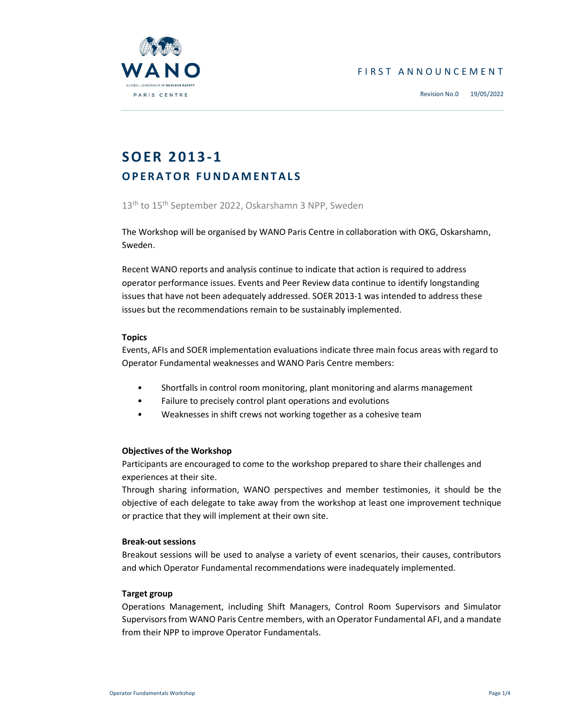





# SOER 2013-1 **OPERATOR FUNDAMENTALS**

13<sup>th</sup> to 15<sup>th</sup> September 2022, Oskarshamn 3 NPP, Sweden

The Workshop will be organised by WANO Paris Centre in collaboration with OKG, Oskarshamn, Sweden.

Recent WANO reports and analysis continue to indicate that action is required to address operator performance issues. Events and Peer Review data continue to identify longstanding issues that have not been adequately addressed. SOER 2013-1 was intended to address these issues but the recommendations remain to be sustainably implemented.

# **Topics**

Events, AFIs and SOER implementation evaluations indicate three main focus areas with regard to Operator Fundamental weaknesses and WANO Paris Centre members:

- Shortfalls in control room monitoring, plant monitoring and alarms management
- Failure to precisely control plant operations and evolutions
- Weaknesses in shift crews not working together as a cohesive team

# Objectives of the Workshop

Participants are encouraged to come to the workshop prepared to share their challenges and experiences at their site.

Through sharing information, WANO perspectives and member testimonies, it should be the objective of each delegate to take away from the workshop at least one improvement technique or practice that they will implement at their own site.

# Break-out sessions

Breakout sessions will be used to analyse a variety of event scenarios, their causes, contributors and which Operator Fundamental recommendations were inadequately implemented.

# Target group

Operations Management, including Shift Managers, Control Room Supervisors and Simulator Supervisors from WANO Paris Centre members, with an Operator Fundamental AFI, and a mandate from their NPP to improve Operator Fundamentals.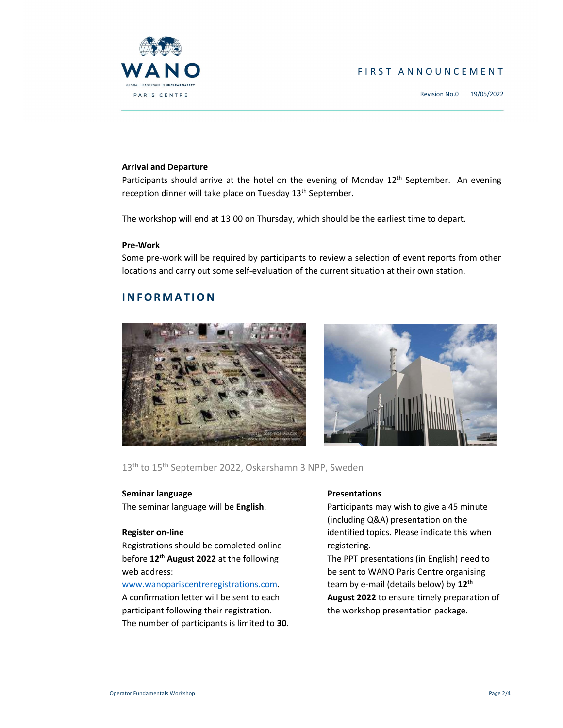

# F I R S T A N N O U N C E M E N T

Revision No.0 19/05/2022

## Arrival and Departure

Participants should arrive at the hotel on the evening of Monday  $12<sup>th</sup>$  September. An evening reception dinner will take place on Tuesday 13<sup>th</sup> September.

The workshop will end at 13:00 on Thursday, which should be the earliest time to depart.

#### Pre-Work

Some pre-work will be required by participants to review a selection of event reports from other locations and carry out some self-evaluation of the current situation at their own station.

# **INFORMATION**





13<sup>th</sup> to 15<sup>th</sup> September 2022, Oskarshamn 3 NPP, Sweden

#### Seminar language

The seminar language will be English.

#### Register on-line

Registrations should be completed online before 12<sup>th</sup> August 2022 at the following web address:

#### www.wanopariscentreregistrations.com.

A confirmation letter will be sent to each participant following their registration. The number of participants is limited to 30.

#### **Presentations**

Participants may wish to give a 45 minute (including Q&A) presentation on the identified topics. Please indicate this when registering.

The PPT presentations (in English) need to be sent to WANO Paris Centre organising team by e-mail (details below) by 12<sup>th</sup> August 2022 to ensure timely preparation of the workshop presentation package.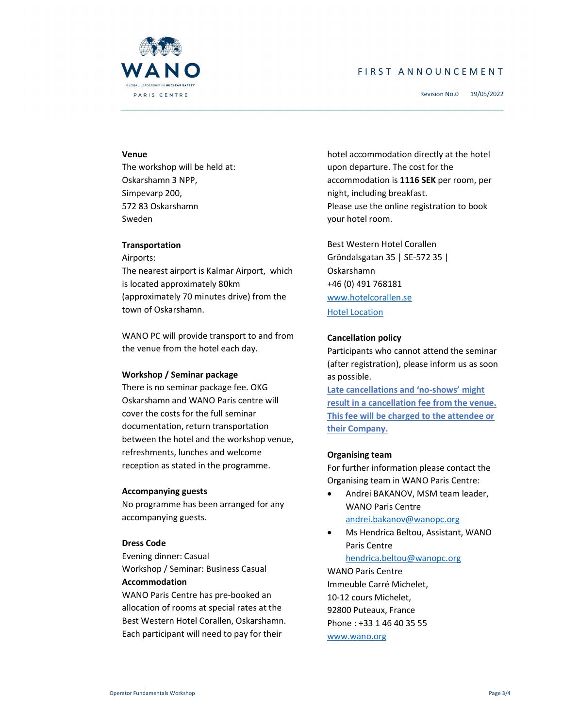

# F I R S T A N N O U N C E M E N T

Revision No.0 19/05/2022

## Venue

The workshop will be held at: Oskarshamn 3 NPP, Simpevarp 200, 572 83 Oskarshamn Sweden

#### **Transportation**

Airports:

The nearest airport is Kalmar Airport, which is located approximately 80km (approximately 70 minutes drive) from the town of Oskarshamn.

WANO PC will provide transport to and from the venue from the hotel each day.

#### Workshop / Seminar package

There is no seminar package fee. OKG Oskarshamn and WANO Paris centre will cover the costs for the full seminar documentation, return transportation between the hotel and the workshop venue, refreshments, lunches and welcome reception as stated in the programme.

#### Accompanying guests

No programme has been arranged for any accompanying guests.

#### Dress Code

Evening dinner: Casual Workshop / Seminar: Business Casual Accommodation

WANO Paris Centre has pre-booked an allocation of rooms at special rates at the Best Western Hotel Corallen, Oskarshamn. Each participant will need to pay for their

hotel accommodation directly at the hotel upon departure. The cost for the accommodation is 1116 SEK per room, per night, including breakfast. Please use the online registration to book your hotel room.

Best Western Hotel Corallen Gröndalsgatan 35 | SE-572 35 | Oskarshamn +46 (0) 491 768181 www.hotelcorallen.se Hotel Location

# Cancellation policy

Participants who cannot attend the seminar (after registration), please inform us as soon as possible.

Late cancellations and 'no-shows' might result in a cancellation fee from the venue. This fee will be charged to the attendee or their Company.

# Organising team

For further information please contact the Organising team in WANO Paris Centre:

- Andrei BAKANOV, MSM team leader, WANO Paris Centre andrei.bakanov@wanopc.org
- Ms Hendrica Beltou, Assistant, WANO Paris Centre hendrica.beltou@wanopc.org

WANO Paris Centre Immeuble Carré Michelet, 10-12 cours Michelet, 92800 Puteaux, France Phone : +33 1 46 40 35 55 www.wano.org